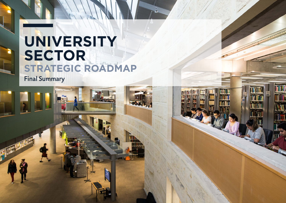# **UNIVERSITY SECTOR STRATEGIC ROADMAP**

UNIVERSITY SECTOR STRATEGIC ROAD

**THEFT** 

Final Summary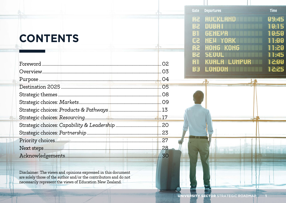#### **CONTENTS**

| O <sub>2</sub> |
|----------------|
| .O3            |
|                |
| 05             |
|                |
|                |
|                |
|                |
|                |
|                |
| 27             |
| 28             |
| 30             |

Disclaimer: The views and opinions expressed in this document are solely those of the author and/or the contributors and do not necessarily represent the views of Education New Zealand.

| Gate      | <b>Departures</b>                  | <b>Time</b>    |  |
|-----------|------------------------------------|----------------|--|
| R2        | <b>AUCKLAND</b><br><u>mengan b</u> | 99:45          |  |
| <b>B2</b> | DUBAI                              | 10:15          |  |
| B1        | GENEPA                             | 10.50          |  |
| C2        | <b>YORK</b><br>NEW                 | 11:00          |  |
| A2        | HONG KONG                          | 11.20          |  |
| Be        | <b>SEQUL</b>                       | 11:45          |  |
| A1        | KUALA LUMPUR                       | 13:00          |  |
| BJ        | LONDON                             | 12.25<br>88 XX |  |
|           | P 12                               |                |  |
|           | $-100$                             |                |  |
|           |                                    |                |  |
|           |                                    |                |  |
|           |                                    |                |  |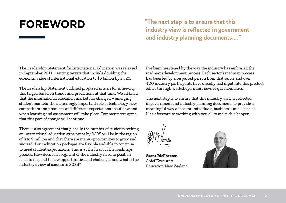**FOREWORD "The next step is to ensure that this industry view is reflected in government and industry planning documents…."**

The Leadership Statement for International Education was released in September 2011 – setting targets that include doubling the economic value of international education to \$5 billion by 2025.

The Leadership Statement outlined proposed actions for achieving this target, based on trends and predictions at that time. We all know that the international education market has changed – emerging student markets, the increasingly important role of technology, new competitors and products, and different expectations about how and when learning and assessment will take place. Commentators agree that this pace of change will continue.

There is also agreement that globally the number of students seeking an international education experience by 2025 will be in the region of 8 to 9 million and that there are many opportunities to grow and succeed if our education packages are flexible and able to continue to meet student expectations. This is at the heart of the roadmaps process. How does each segment of the industry need to position itself to respond to new opportunities and challenges and what is the industry's view of success in 2025?

I've been heartened by the way the industry has embraced the roadmaps development process. Each sector's roadmap process has been led by a respected person from that sector and over 400 industry participants have directly had input into this product: either through workshops, interviews or questionnaires.

The next step is to ensure that this industry view is reflected in government and industry planning documents to provide a meaningful way ahead for individuals, businesses and agencies. I look forward to working with you all to make this happen.

**Grant McPherson** Chief Executive Education New Zealand

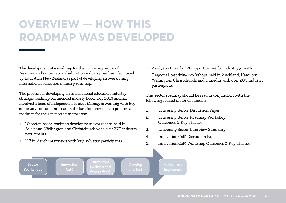#### **OVERVIEW — HOW THIS ROADMAP WAS DEVELOPED**

The development of a roadmap for the University sector of New Zealand's international education industry has been facilitated by Education New Zealand as part of developing an overarching international education industry roadmap.

The process for developing an international education industry strategic roadmap commenced in early December 2013 and has involved a team of independent Project Managers working with key sector advisors and international education providers to produce a roadmap for their respective sectors via:

- > 10 sector-based roadmap development workshops held in Auckland, Wellington and Christchurch with over 370 industry participants
- $>$  117 in-depth interviews with key industry participants
- > Analysis of nearly 220 opportunities for industry growth
- > 7 regional 'test drive' workshops held in Auckland, Hamilton, Wellington, Christchurch, and Dunedin with over 200 industry participants

This sector roadmap should be read in conjunction with the following related sector documents:

- 1. University Sector Discussion Paper
- 2. University Sector Roadmap Workshop Outcomes & Key Themes
- 3. University Sector Interview Summary
- 4. Innovation Café Discussion Paper
- 5. Innovation Café Workshop Outcomes & Key Themes

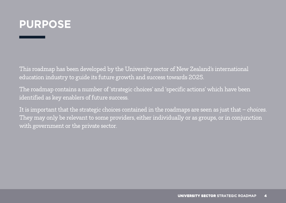

This roadmap has been developed by the University sector of New Zealand's international education industry to guide its future growth and success towards 2025.

The roadmap contains a number of 'strategic choices' and 'specific actions' which have been identified as key enablers of future success.

It is important that the strategic choices contained in the roadmaps are seen as just that – *choices*. They may only be relevant to some providers, either individually or as groups, or in conjunction with government or the private sector.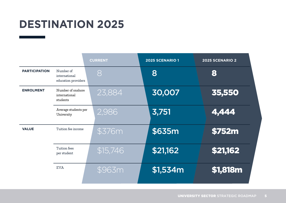# **DESTINATION 2025**

|                      |                                                   | <b>CURRENT</b> | <b>2025 SCENARIO 1</b> | <b>2025 SCENARIO 2</b> |
|----------------------|---------------------------------------------------|----------------|------------------------|------------------------|
| <b>PARTICIPATION</b> | Number of<br>international<br>education providers | 8              | 8                      | 8                      |
| <b>ENROLMENT</b>     | Number of onshore<br>international<br>students    | 23,884         | 30,007                 | 35,550                 |
|                      | Average students per<br>University                | 2,986          | 3,751                  | 4,444                  |
| <b>VALUE</b>         | Tuition fee income                                | \$376m         | \$635m                 | <b>\$752m</b>          |
|                      | Tuition fees<br>per student                       | \$15,746       | \$21,162               | \$21,162               |
|                      | <b>EVA</b>                                        | \$963m         | \$1,534m               | \$1,818m               |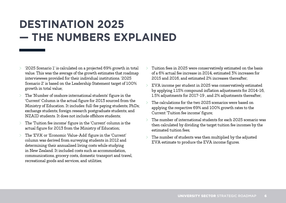#### **DESTINATION 2025 — THE NUMBERS EXPLAINED**

- > '2025 Scenario 1' is calculated on a projected 69% growth in total value. This was the average of the growth estimates that roadmap interviewees provided for their individual institutions. '2025 Scenario 2' is based on the Leadership Statement target of 100% growth in total value;
- > The 'Number of onshore international students' figure in the 'Current' Column is the actual figure for 2013 sourced from the Ministry of Education. It includes: full-fee paying students; PhDs; exchange students; foreign research postgraduate students; and NZAID students. It does not include offshore students;
- > The 'Tuition fee income' figure in the 'Current' column is the actual figure for 2013 from the Ministry of Education;
- > The 'EVA' or 'Economic Value-Add' figure in the 'Current' column was derived from surveying students in 2012 and determining their annualised living costs while studying in New Zealand. It included costs such as accommodation, communications, grocery costs, domestic transport and travel, recreational goods and services, and utilities;
- Tuition fees in 2025 were conservatively estimated on the basis of a 6% actual fee increase in 2014, estimated 3% increases for 2015 and 2016, and estimated 2% increases thereafter;
- > EVA income per student in 2025 was conservatively estimated by applying 1.15% compound inflation adjustments for 2014-16, 1.5% adjustments for 2017-19 , and 2% adjustments thereafter;
- $>$  The calculations for the two 2025 scenarios were based on applying the respective 69% and 100% growth rates to the Current 'Tuition fee income' figure;
- The number of international students for each 2025 scenario was then calculated by dividing the target tuition fee incomes by the estimated tuition fees;
- $>$  The number of students was then multiplied by the adjusted EVA estimate to produce the EVA income figures.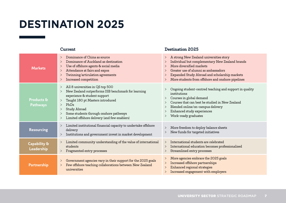# **DESTINATION 2025**

|                               | Current                                                                                                                                                                                                                                                                                                                                            | <b>Destination 2025</b>                                                                                                                                                                                                                                                                                   |  |  |
|-------------------------------|----------------------------------------------------------------------------------------------------------------------------------------------------------------------------------------------------------------------------------------------------------------------------------------------------------------------------------------------------|-----------------------------------------------------------------------------------------------------------------------------------------------------------------------------------------------------------------------------------------------------------------------------------------------------------|--|--|
| <b>Markets</b>                | Dominance of China as source<br>$\geq$<br>Dominance of Auckland as destination<br>$\geq$<br>Use of offshore agents & social media<br>$\geq$<br>Attendance at fairs and expos<br>$\geq$<br>Twinning/articulation agreements<br>$\geq$<br>Increased competition<br>$\geq$                                                                            | A strong New Zealand universities story<br>$\geq$<br>Individual but complementary New Zealand brands<br>More diversified markets<br>$\mathcal{P}$<br>Greater use of alumni as ambassadors<br>Expanded Study Abroad and scholarship markets<br>More students from offshore and onshore pipelines<br>$\geq$ |  |  |
| Products &<br><b>Pathways</b> | All 8 universities in QS top 500<br>$\geq$<br>New Zealand outperforms ISB benchmark for learning<br>$\geq$<br>experience & student support<br>Taught 180 pt Masters introduced<br>$\geq$<br>PhDs<br>$\geq$<br>Study Abroad<br>$\geq$<br>Some students through onshore pathways<br>$\geq$<br>Limited offshore delivery (and few enablers)<br>$\geq$ | Ongoing student-centred teaching and support in quality<br>institutions<br>Courses in global demand<br>$\geq$<br>Courses that can best be studied in New Zealand<br>Blended online/on-campus delivery<br>$\geq$<br>Enhanced study experiences<br>Work-ready graduates<br>$\geq$                           |  |  |
| <b>Resourcing</b>             | Limited institutional financial capacity to undertake offshore<br>$\geq$<br>delivery<br>Institutions and government invest in market development<br>$\geq$                                                                                                                                                                                         | More freedom to deploy balance sheets<br>$\geq$<br>New funds for targeted initiatives<br>$\geq$                                                                                                                                                                                                           |  |  |
| Capability &<br>Leadership    | Limited community understanding of the value of international<br>$\rm{>}$<br>students<br>Fragmented entry processes<br>$\geq$                                                                                                                                                                                                                      | International students are celebrated<br>$\geq$<br>International education becomes professionalised<br>><br>Streamlined entry processes<br>$\geq$                                                                                                                                                         |  |  |
| Partnership                   | Government agencies vary in their support for the 2025 goals<br>$\geq$<br>Few offshore teaching collaborations between New Zealand<br>$\geq$<br>universities                                                                                                                                                                                       | More agencies embrace the 2025 goals<br>Increased offshore partnerships<br>$\geq$<br>Enhanced regional strategies<br>Increased engagement with employers<br>$\geq$                                                                                                                                        |  |  |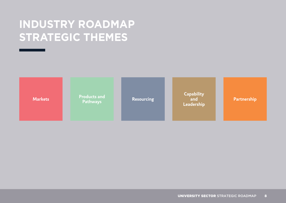#### **INDUSTRY ROADMAP STRATEGIC THEMES**



**Pathways**

Markets **Resourcing Markets and Products and Benedicty Resourcing Products and and Partnership Capability and Leadership**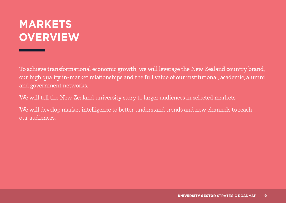## **MARKETS OVERVIEW**

To achieve transformational economic growth, we will leverage the New Zealand country brand, our high quality in-market relationships and the full value of our institutional, academic, alumni and government networks.

We will tell the New Zealand university story to larger audiences in selected markets.

We will develop market intelligence to better understand trends and new channels to reach our audiences.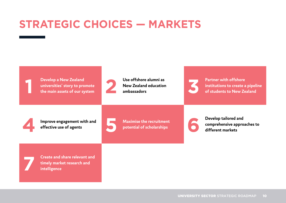# **STRATEGIC CHOICES — MARKETS**



**1 Develop a New Zealand <b>2 Develop a New Zealand and** *Lieu* **Constrained a Books of our system 2 2 Develop a Mew Zealand education 2 Develop a Mew Zealand education 2 Develop a Mew Zealand education 2 universities' story to promote** 



**New Zealand education**  Use offshore alumni as **1989 Partner with offshore**<br> **3 Partner with offshore** institutions to create a<br>
ambassadors of students to New Ze



**institutions to create a pipeline of students to New Zealand**

**4 Improve engagement with and**  Improve engagement with and<br>**EXECUTE CONSISTENT** Maximise the recruitment effective use of agents



**potential of scholarships bevelop tailored and <b>comprehensive appro** different markets **comprehensive approaches to different markets**

**7 Create and share relevant and timely market research and intelligence**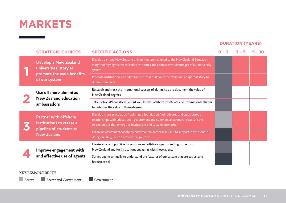#### **MARKETS**

#### **DURATION (YEARS)**

|  | <b>STRATEGIC CHOICES</b>                                              | <b>SPECIFIC ACTIONS</b>                                                                                                                                                                                                                    | $0 - 3$ | $3 - 5$ | $5 - 10$ |
|--|-----------------------------------------------------------------------|--------------------------------------------------------------------------------------------------------------------------------------------------------------------------------------------------------------------------------------------|---------|---------|----------|
|  | <b>Develop a New Zealand</b><br>universities' story to                | Develop a strong New Zealand universities story aligned to the New Zealand Education<br>story that highlights the collective attributes and competitive advantages of our university<br>system                                             |         |         |          |
|  | promote the main benefits<br>of our system                            | Promote institutional and city brands within that collective story and adapt that story to<br>different markets                                                                                                                            |         |         |          |
|  | Use offshore alumni as<br><b>New Zealand education</b><br>ambassadors | Research and track the international success of alumni so as to document the value of<br>New Zealand degrees                                                                                                                               |         |         |          |
|  |                                                                       | Tell emotional/hero stories about well-known offshore expatriate and international alumni<br>to publicise the value of those degrees                                                                                                       |         |         |          |
|  | <b>Partner with offshore</b><br>institutions to create a              | Develop more articulation / twinning / foundation / joint degree and study abroad<br>relationships with educational, government and commercial partners to capture the<br>opportunities that emerge as institutions and systems strengthen |         |         |          |
|  | pipeline of students to<br><b>New Zealand</b>                         | Create an assessment capability and resource database in ENZ to support institutions in<br>doing due diligence on prospective partners                                                                                                     |         |         |          |
|  | Improve engagement with                                               | Create a code of practice for onshore and offshore agents sending students to<br>New Zealand and for institutions engaging with those agents                                                                                               |         |         |          |
|  | and effective use of agents                                           | Survey agents annually to understand the features of our system that are easiest and<br>hardest to sell                                                                                                                                    |         |         |          |

#### KEY RESPONSIBILITY

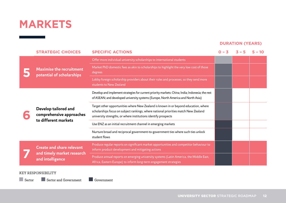#### **MARKETS**

#### **DURATION (YEARS)**

|  | <b>STRATEGIC CHOICES</b>                                                           | <b>SPECIFIC ACTIONS</b>                                                                                                                                                                                                                      | $0 - 3$ | $3 - 5$ |  |
|--|------------------------------------------------------------------------------------|----------------------------------------------------------------------------------------------------------------------------------------------------------------------------------------------------------------------------------------------|---------|---------|--|
|  |                                                                                    | Offer more individual university scholarships to international students                                                                                                                                                                      |         |         |  |
|  | <b>Maximise the recruitment</b><br>potential of scholarships                       | Market PhD domestic fees as akin to scholarships to highlight the very low cost of those<br>degrees                                                                                                                                          |         |         |  |
|  |                                                                                    | Lobby foreign scholarship providers about their rules and processes, so they send more<br>students to New Zealand                                                                                                                            |         |         |  |
|  | Develop tailored and<br>comprehensive approaches<br>to different markets           | Develop and implement strategies for current priority markets: China; India; Indonesia; the rest<br>of ASEAN; and developed university systems (Europe, North America and North Asia)                                                        |         |         |  |
|  |                                                                                    | Target other opportunities where New Zealand is known in or beyond education, where<br>scholarships focus on subject rankings, where national priorities match New Zealand<br>university strengths, or where institutions identify prospects |         |         |  |
|  |                                                                                    | Use ENZ as an initial recruitment channel in emerging markets                                                                                                                                                                                |         |         |  |
|  |                                                                                    | Nurture broad and reciprocal government-to-government ties where such ties unlock<br>student flows                                                                                                                                           |         |         |  |
|  | <b>Create and share relevant</b><br>and timely market research<br>and intelligence | Produce regular reports on significant market opportunities and competitor behaviour to<br>inform product development and mitigating actions                                                                                                 |         |         |  |
|  |                                                                                    | Produce annual reports on emerging university systems (Latin America, the Middle East,<br>Africa, Eastern Europe) to inform long-term engagement strategies                                                                                  |         |         |  |

#### KEY RESPONSIBILITY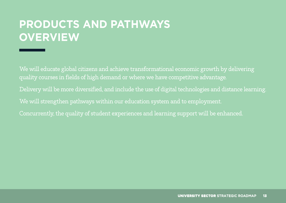# **PRODUCTS AND PATHWAYS OVERVIEW**

We will educate global citizens and achieve transformational economic growth by delivering quality courses in fields of high demand or where we have competitive advantage. Delivery will be more diversified, and include the use of digital technologies and distance learning. We will strengthen pathways within our education system and to employment. Concurrently, the quality of student experiences and learning support will be enhanced.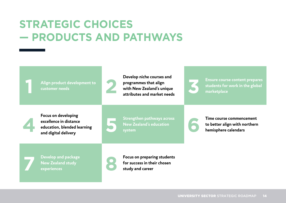### **STRATEGIC CHOICES — PRODUCTS AND PATHWAYS**

**1 Align product development to customer needs 2** 

**Develop niche courses and programmes that align with New Zealand's unique atterior inche courses and programmes that align Ensure course content prepares students for work in the global market<br>place attributes and market needs and the students of marketplace and market needs and market place an** 



**students for work in the global marketplace**



**Focus on developing excellence in distance education, blended learning and digital delivery**<br>and digital delivery<br>and digital delivery<br>and digital delivery



**New Zealand's education**  Strengthen pathways across<br>
New Zealand's education<br>
system<br> **60 <b>Figure 1 Figure 2 Conserverse commencement**<br> **60 <b>Figure 2 Figure 2 Figure 2 Figure 2 Figure 2 Figure 2 Figure 2 Figure 2 Figure 2 Fig** 

**to better align with northern hemisphere calendars**

**7 Develop and package New Zealand study** 



**Experiences B**<br> **experiences 8 Experiences 8 Experiences 8 Experiences 8 Experiences 8 Experiences 8 Experiences 8 Experiences 8 Experiences 8 Experiences 8 Experiences 8 Expe for success in their chosen study and career**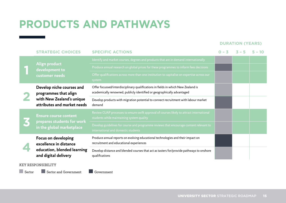# **PRODUCTS AND PATHWAYS**

#### **DURATION (YEARS)**

|  | <b>STRATEGIC CHOICES</b>                                                                                       | <b>SPECIFIC ACTIONS</b>                                                                                                                                      | $0 - 3$ | $3 - 5$ | $5 - 10$ |
|--|----------------------------------------------------------------------------------------------------------------|--------------------------------------------------------------------------------------------------------------------------------------------------------------|---------|---------|----------|
|  |                                                                                                                | Identify and market courses, degrees and products that are in demand internationally                                                                         |         |         |          |
|  | Align product<br>development to                                                                                | Produce annual research on global prices for these programmes to inform fees decisions                                                                       |         |         |          |
|  | customer needs                                                                                                 | Offer qualifications across more than one institution to capitalise on expertise across our<br>system                                                        |         |         |          |
|  | Develop niche courses and<br>programmes that align<br>with New Zealand's unique<br>attributes and market needs | Offer focussed/interdisciplinary qualifications in fields in which New Zealand is<br>academically renowned, publicly identified or geographically advantaged |         |         |          |
|  |                                                                                                                | Develop products with migration potential to connect recruitment with labour market<br>demand                                                                |         |         |          |
|  | <b>Ensure course content</b><br>prepares students for work<br>in the global marketplace                        | Review CUAP processes to ensure swift approval of courses likely to attract international<br>students while maintaining system quality                       |         |         |          |
|  |                                                                                                                | Develop guidelines for course and programme reviews that encourage content relevant to<br>international and domestic students                                |         |         |          |
|  | Focus on developing<br>excellence in distance<br>education, blended learning<br>and digital delivery           | Produce annual reports on evolving educational technologies and their impact on<br>recruitment and educational experiences                                   |         |         |          |
|  |                                                                                                                | Develop distance and blended courses that act as tasters for/provide pathways to onshore<br>qualifications                                                   |         |         |          |

#### KEY RESPONSIBILITY

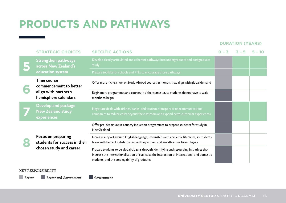# **PRODUCTS AND PATHWAYS**

#### **DURATION (YEARS)**

|  | <b>STRATEGIC CHOICES</b>                                                                    | <b>SPECIFIC ACTIONS</b>                                                                                                                                                                                                                     | $0 - 3$ | $3 - 5$ | $5 - 10$ |
|--|---------------------------------------------------------------------------------------------|---------------------------------------------------------------------------------------------------------------------------------------------------------------------------------------------------------------------------------------------|---------|---------|----------|
|  | <b>Strengthen pathways</b><br>across New Zealand's                                          | Develop clearly articulated and coherent pathways into undergraduate and postgraduate<br>study                                                                                                                                              |         |         |          |
|  | education system                                                                            | Prepare toolkits for schools and PTEs to encourage those pathways                                                                                                                                                                           |         |         |          |
|  | <b>Time course</b><br>commencement to better<br>align with northern<br>hemisphere calendars | Offer more niche, short or Study Abroad courses in months that align with global demand                                                                                                                                                     |         |         |          |
|  |                                                                                             | Begin more programmes and courses in either semester, so students do not have to wait<br>months to begin                                                                                                                                    |         |         |          |
|  | <b>Develop and package</b><br><b>New Zealand study</b><br>experiences                       | Negotiate deals with airlines, banks, and tourism, transport or telecommunications<br>companies to reduce costs beyond the classroom and expand extra-curricular experiences                                                                |         |         |          |
|  | Focus on preparing<br>students for success in their<br>chosen study and career              | Offer pre-departure in-country induction programmes to prepare students for study in<br>New Zealand                                                                                                                                         |         |         |          |
|  |                                                                                             | Increase support around English language, internships and academic literacies, so students<br>leave with better English than when they arrived and are attractive to employers                                                              |         |         |          |
|  |                                                                                             | Prepare students to be global citizens through identifying and resourcing initiatives that<br>increase the internationalisation of curricula, the interaction of international and domestic<br>students, and the employability of graduates |         |         |          |

#### KEY RESPONSIBILITY

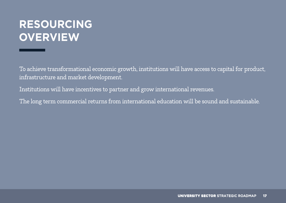### **RESOURCING OVERVIEW**

To achieve transformational economic growth, institutions will have access to capital for product, infrastructure and market development.

Institutions will have incentives to partner and grow international revenues.

The long term commercial returns from international education will be sound and sustainable.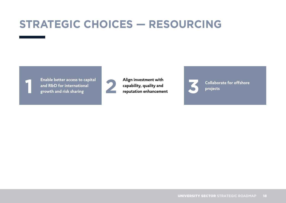# **STRATEGIC CHOICES — RESOURCING**

**1 Enable better access to capital growth and risk sharing 2 Align investment with and R&D for international** 



**capability, quality and**  Align investment with<br> **capability, quality and**<br> **PERIODE COLLADORED ENGINEER PROPERTIES**<br> **PERIODE PROPERTIES** 



**projects**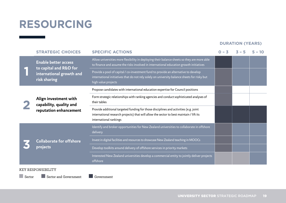### **RESOURCING**

#### **DURATION (YEARS)**

|  | <b>STRATEGIC CHOICES</b>                                                                          | <b>SPECIFIC ACTIONS</b>                                                                                                                                                                                    | $0 - 3$ | $3 - 5$ | $5 - 10$ |
|--|---------------------------------------------------------------------------------------------------|------------------------------------------------------------------------------------------------------------------------------------------------------------------------------------------------------------|---------|---------|----------|
|  | <b>Enable better access</b><br>to capital and R&D for<br>international growth and<br>risk sharing | Allow universities more flexibility in deploying their balance sheets so they are more able<br>to finance and assume the risks involved in international education growth initiatives                      |         |         |          |
|  |                                                                                                   | Provide a pool of capital / co-investment fund to provide an alternative to develop<br>international initiatives that do not rely solely on university balance sheets for risky but<br>high value projects |         |         |          |
|  |                                                                                                   | Propose candidates with international education expertise for Council positions                                                                                                                            |         |         |          |
|  | Align investment with<br>capability, quality and<br>reputation enhancement                        | Form strategic relationships with ranking agencies and conduct sophisticated analyses of<br>their tables                                                                                                   |         |         |          |
|  |                                                                                                   | Provide additional targeted funding for those disciplines and activities (e.g. joint<br>international research projects) that will allow the sector to best maintain / lift its<br>international rankings  |         |         |          |
|  |                                                                                                   | Identify and broker opportunities for New Zealand universities to collaborate in offshore<br>delivery                                                                                                      |         |         |          |
|  | <b>Collaborate for offshore</b>                                                                   | Invest in digital facilities and resources to showcase New Zealand teaching in MOOCs                                                                                                                       |         |         |          |
|  | projects                                                                                          | Develop toolkits around delivery of offshore services in priority markets                                                                                                                                  |         |         |          |
|  |                                                                                                   | Interested New Zealand universities develop a commercial entity to jointly deliver projects<br>offshore                                                                                                    |         |         |          |

#### KEY RESPONSIBILITY

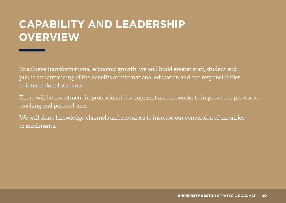# **CAPABILITY AND LEADERSHIP OVERVIEW**

To achieve transformational economic growth, we will build greater staff, student and public understanding of the benefits of international education and our responsibilities to international students.

There will be investment in professional development and networks to improve our processes, teaching and pastoral care.

We will share knowledge, channels and resources to increase our conversion of enquiries to enrolments.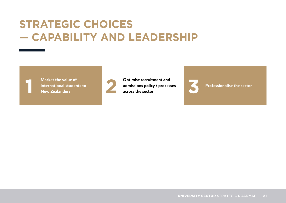#### **STRATEGIC CHOICES — CAPABILITY AND LEADERSHIP**



**1** Market the value of<br>**1** international studen<br>**New Zealanders international students to** 



Market the value of **22 <b>Optimise recruitment and**<br>international students to **22 admissions policy / process**<br>New Zealanders across the sector **admissions policy / processes admissions policy / processes**<br>**3 Professionalise the sector**<br>**3 Professionalise the sector** 

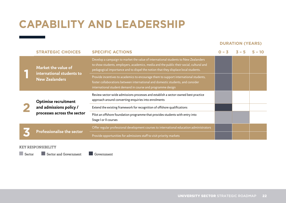# **CAPABILITY AND LEADERSHIP**

#### **DURATION (YEARS)**

|  | <b>STRATEGIC CHOICES</b>                                                              | <b>SPECIFIC ACTIONS</b>                                                                                                                                                                                                                                             | $0 - 3$ |  |
|--|---------------------------------------------------------------------------------------|---------------------------------------------------------------------------------------------------------------------------------------------------------------------------------------------------------------------------------------------------------------------|---------|--|
|  | Market the value of<br>international students to                                      | Develop a campaign to market the value of international students to New Zealanders<br>to show students, employers, academics, media and the public their social, cultural and<br>pedagogical importance and to dispel the notion that they displace local students. |         |  |
|  | <b>New Zealanders</b>                                                                 | Provide incentives to academics to encourage them to support international students,<br>foster collaborations between international and domestic students, and consider<br>international student demand in course and programme design                              |         |  |
|  | <b>Optimise recruitment</b><br>and admissions policy /<br>processes across the sector | Review sector-wide admissions processes and establish a sector-owned best practice<br>approach around converting enquiries into enrolments                                                                                                                          |         |  |
|  |                                                                                       | Extend the existing framework for recognition of offshore qualifications                                                                                                                                                                                            |         |  |
|  |                                                                                       | Pilot an offshore foundation programme that provides students with entry into<br>Stage I or II courses                                                                                                                                                              |         |  |
|  |                                                                                       | Offer regular professional development courses to international education administrators                                                                                                                                                                            |         |  |
|  | <b>Professionalise the sector</b>                                                     | Provide opportunities for admissions staff to visit priority markets                                                                                                                                                                                                |         |  |

#### KEY RESPONSIBILITY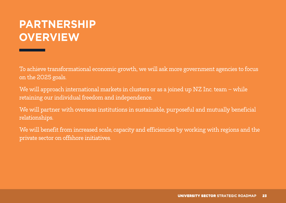# **PARTNERSHIP OVERVIEW**

To achieve transformational economic growth, we will ask more government agencies to focus on the 2025 goals.

We will approach international markets in clusters or as a joined up NZ Inc. team – while retaining our individual freedom and independence.

We will partner with overseas institutions in sustainable, purposeful and mutually beneficial relationships.

We will benefit from increased scale, capacity and efficiencies by working with regions and the private sector on offshore initiatives.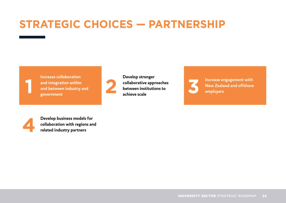### **STRATEGIC CHOICES — PARTNERSHIP**



**Increase collaboration and integration within and between industry and**  Increase conaboration<br>and integration within<br>and between industry and<br>government



**Develop stronger collaborative approaches between institutions to Exercise Scribber Scribber 2 achieve scale 3 Increase engagement with**<br> **Achieve scale 3 Achieve scale achieve scale achieve scale achieve scale achieve scale achieve** scale



**New Zealand and offshore employers**



**14 Develop business models for collaboration with regions an related industry partners collaboration with regions and related industry partners**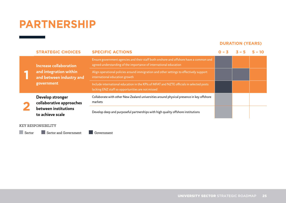#### **PARTNERSHIP**

#### **DURATION (YEARS)**

|  | <b>STRATEGIC CHOICES</b>                                                                   | <b>SPECIFIC ACTIONS</b>                                                                                                                                     | $0 - 3$ | $\mathbf{Z}$ $-$ | $5 - 10$ |
|--|--------------------------------------------------------------------------------------------|-------------------------------------------------------------------------------------------------------------------------------------------------------------|---------|------------------|----------|
|  | Increase collaboration<br>and integration within<br>and between industry and<br>government | Ensure government agencies and their staff both onshore and offshore have a common and<br>agreed understanding of the importance of international education |         |                  |          |
|  |                                                                                            | Align operational policies around immigration and other settings to effectively support<br>international education growth                                   |         |                  |          |
|  |                                                                                            | Include international education in the KPIs of MFAT and NZTE officials in selected posts<br>lacking ENZ staff so opportunities are not missed               |         |                  |          |
|  | Develop stronger<br>collaborative approaches                                               | Collaborate with other New Zealand universities around physical presence in key offshore<br>markets                                                         |         |                  |          |
|  | between institutions<br>to achieve scale                                                   | Develop deep and purposeful partnerships with high quality offshore institutions                                                                            |         |                  |          |

#### KEY RESPONSIBILITY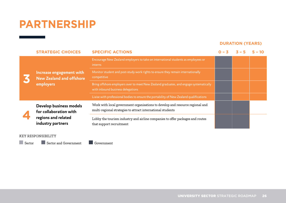#### **PARTNERSHIP**

#### **DURATION (YEARS)**

|  | <b>STRATEGIC CHOICES</b>                                                 | <b>SPECIFIC ACTIONS</b>                                                                                                                      | $0 - 3$ | $3 - 5$ | $5 - 10$ |
|--|--------------------------------------------------------------------------|----------------------------------------------------------------------------------------------------------------------------------------------|---------|---------|----------|
|  | Increase engagement with<br><b>New Zealand and offshore</b><br>employers | Encourage New Zealand employers to take on international students as employees or<br>interns                                                 |         |         |          |
|  |                                                                          | Monitor student and post-study work rights to ensure they remain internationally<br>competitive                                              |         |         |          |
|  |                                                                          | Bring offshore employers over to meet New Zealand graduates, and engage systematically<br>with inbound business delegations                  |         |         |          |
|  |                                                                          | Liaise with professional bodies to ensure the portability of New Zealand qualifications                                                      |         |         |          |
|  | Develop business models<br>for collaboration with                        | Work with local government organisations to develop and resource regional and<br>multi-regional strategies to attract international students |         |         |          |
|  | regions and related<br>industry partners                                 | Lobby the tourism industry and airline companies to offer packages and routes<br>that support recruitment                                    |         |         |          |

#### KEY RESPONSIBILITY

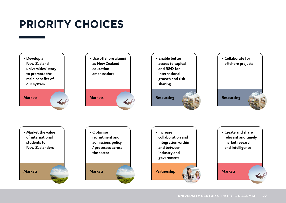# **PRIORITY CHOICES**

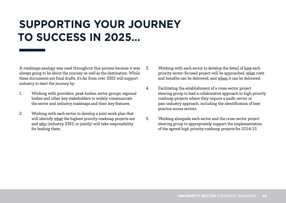#### **SUPPORTING YOUR JOURNEY TO SUCCESS IN 2025…**

A roadmaps analogy was used throughout this process because it was always going to be about the journey *as well* as the destination. While these documents are final drafts, it's far from over. ENZ will support industry to start the journey by:

- 1. Working with providers, peak bodies, sector groups, regional bodies and other key stakeholders to widely communicate the sector and industry roadmaps and their key features.
- 2. Working with each sector to develop a joint work plan that will identify what the highest priority roadmap projects are and who (industry, ENZ, or jointly) will take responsibility for leading them.
- 3. Working with each sector to develop the detail of how each priority sector-focused project will be approached, what costs and benefits can be delivered, and when it can be delivered.
- 4. Facilitating the establishment of a cross-sector project steering group to lead a collaborative approach to high priority roadmap projects where they require a multi-sector or pan-industry approach, including the identification of best practice across sectors.
- 5. Working alongside each sector and the cross-sector project steering group to appropriately support the implementation of the agreed high priority roadmap projects for 2014/15.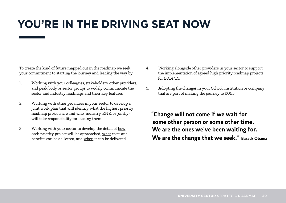# **YOU'RE IN THE DRIVING SEAT NOW**

To create the kind of future mapped out in the roadmap we seek your commitment to starting the journey and leading the way by:

- 1. Working with your colleagues, stakeholders, other providers, and peak body or sector groups to widely communicate the sector and industry roadmaps and their key features.
- 2. Working with other providers in your sector to develop a joint work plan that will identify what the highest priority roadmap projects are and who (industry, ENZ, or jointly) will take responsibility for leading them.
- 3. Working with your sector to develop the detail of how each priority project will be approached, what costs and benefits can be delivered, and when it can be delivered.
- 4. Working alongside other providers in your sector to support the implementation of agreed high priority roadmap projects for 2014/15.
- 5. Adopting the changes in your School, institution or company that are part of making the journey to 2025.

**"Change will not come if we wait for some other person or some other time. We are the ones we've been waiting for. We are the change that we seek." Barack Obama**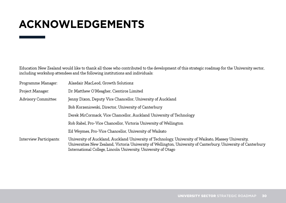#### **ACKNOWLEDGEMENTS**

Education New Zealand would like to thank all those who contributed to the development of this strategic roadmap for the University sector, including workshop attendees and the following institutions and individuals:

| Programme Manager:             | Alasdair MacLeod, Growth Solutionz                                                                                                                                                                                                                                                        |
|--------------------------------|-------------------------------------------------------------------------------------------------------------------------------------------------------------------------------------------------------------------------------------------------------------------------------------------|
| Project Manager:               | Dr Matthew O'Meagher, Cientiros Limited                                                                                                                                                                                                                                                   |
| <b>Advisory Committee:</b>     | Jenny Dixon, Deputy Vice Chancellor, University of Auckland                                                                                                                                                                                                                               |
|                                | Bob Korzeniowski, Director, University of Canterbury                                                                                                                                                                                                                                      |
|                                | Derek McCormack, Vice Chancellor, Auckland University of Technology                                                                                                                                                                                                                       |
|                                | Rob Rabel, Pro-Vice Chancellor, Victoria University of Wellington                                                                                                                                                                                                                         |
|                                | Ed Weymes, Pro-Vice Chancellor, University of Waikato                                                                                                                                                                                                                                     |
| <b>Interview Participants:</b> | University of Auckland, Auckland University of Technology, University of Waikato, Massey University,<br>Universities New Zealand, Victoria University of Wellington, University of Canterbury, University of Canterbury<br>International College, Lincoln University, University of Otago |